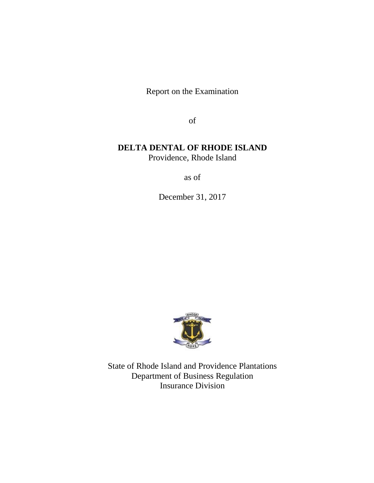Report on the Examination

of

# **DELTA DENTAL OF RHODE ISLAND**

Providence, Rhode Island

as of

December 31, 2017



State of Rhode Island and Providence Plantations Department of Business Regulation Insurance Division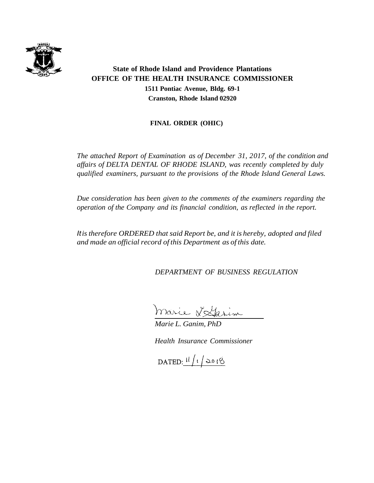

# **State of Rhode Island and Providence Plantations OFFICE OF THE HEALTH INSURANCE COMMISSIONER 1511 Pontiac Avenue, Bldg. 69-1 Cranston, Rhode Island 02920**

## **FINAL ORDER (OHIC)**

*The attached Report of Examination as of December 31, 2017, of the condition and affairs of DELTA DENTAL OF RHODE ISLAND, was recently completed by duly qualified examiners, pursuant to the provisions of the Rhode Island General Laws.*

*Due consideration has been given to the comments of the examiners regarding the operation of the Company and its financial condition, as reflected in the report.*

*Itis therefore ORDERED that said Report be, and it is hereby, adopted and filed and made an official record of this Department as of this date.*

*DEPARTMENT OF BUSINESS REGULATION*

marie Vitarin

*Marie L. Ganim, PhD*

*Health Insurance Commissioner*

DATED:  $11/12018$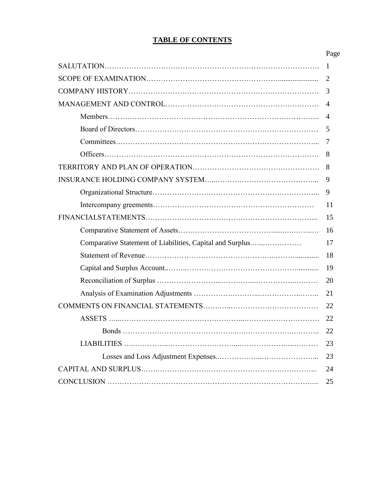# **TABLE OF CONTENTS**

|                                                           | Page           |
|-----------------------------------------------------------|----------------|
|                                                           | 1              |
|                                                           |                |
|                                                           | 3              |
|                                                           | $\overline{4}$ |
|                                                           | 4              |
|                                                           | 5              |
|                                                           | 7              |
|                                                           | 8              |
|                                                           | 8              |
|                                                           | 9              |
|                                                           | 9              |
|                                                           | 11             |
|                                                           | 15             |
|                                                           | 16             |
| Comparative Statement of Liabilities, Capital and Surplus | 17             |
|                                                           | 18             |
|                                                           | 19             |
|                                                           | 20             |
|                                                           | 21             |
|                                                           | 22             |
|                                                           | 22             |
|                                                           | 22             |
|                                                           | 23             |
|                                                           | 23             |
|                                                           | 24             |
|                                                           | 25             |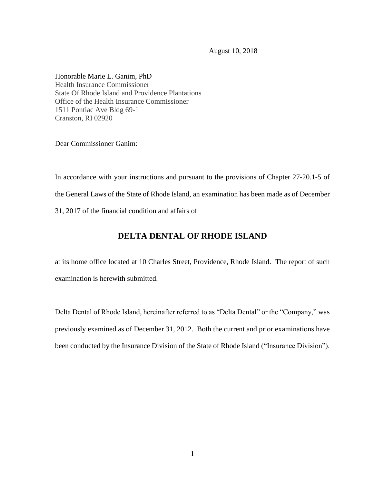August 10, 2018

Honorable Marie L. Ganim, PhD Health Insurance Commissioner State Of Rhode Island and Providence Plantations Office of the Health Insurance Commissioner 1511 Pontiac Ave Bldg 69-1 Cranston, RI 02920

Dear Commissioner Ganim:

In accordance with your instructions and pursuant to the provisions of Chapter 27-20.1-5 of the General Laws of the State of Rhode Island, an examination has been made as of December 31, 2017 of the financial condition and affairs of

# **DELTA DENTAL OF RHODE ISLAND**

at its home office located at 10 Charles Street, Providence, Rhode Island. The report of such examination is herewith submitted.

Delta Dental of Rhode Island, hereinafter referred to as "Delta Dental" or the "Company," was previously examined as of December 31, 2012. Both the current and prior examinations have been conducted by the Insurance Division of the State of Rhode Island ("Insurance Division").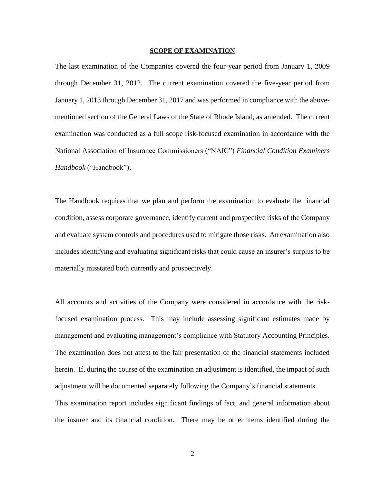#### **SCOPE OF EXAMINATION**

The last examination of the Companies covered the four-year period from January 1, 2009 through December 31, 2012. The current examination covered the five-year period from January 1, 2013 through December 31, 2017 and was performed in compliance with the abovementioned section of the General Laws of the State of Rhode Island, as amended. The current examination was conducted as a full scope risk-focused examination in accordance with the National Association of Insurance Commissioners ("NAIC") *Financial Condition Examiners Handbook* ("Handbook"),

The Handbook requires that we plan and perform the examination to evaluate the financial condition, assess corporate governance, identify current and prospective risks of the Company and evaluate system controls and procedures used to mitigate those risks. An examination also includes identifying and evaluating significant risks that could cause an insurer's surplus to be materially misstated both currently and prospectively.

All accounts and activities of the Company were considered in accordance with the riskfocused examination process. This may include assessing significant estimates made by management and evaluating management's compliance with Statutory Accounting Principles. The examination does not attest to the fair presentation of the financial statements included herein. If, during the course of the examination an adjustment is identified, the impact of such adjustment will be documented separately following the Company's financial statements. This examination report includes significant findings of fact, and general information about the insurer and its financial condition. There may be other items identified during the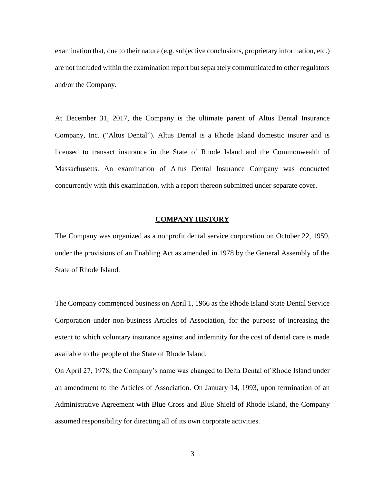examination that, due to their nature (e.g. subjective conclusions, proprietary information, etc.) are not included within the examination report but separately communicated to other regulators and/or the Company.

At December 31, 2017, the Company is the ultimate parent of Altus Dental Insurance Company, Inc. ("Altus Dental"). Altus Dental is a Rhode Island domestic insurer and is licensed to transact insurance in the State of Rhode Island and the Commonwealth of Massachusetts. An examination of Altus Dental Insurance Company was conducted concurrently with this examination, with a report thereon submitted under separate cover.

#### **COMPANY HISTORY**

The Company was organized as a nonprofit dental service corporation on October 22, 1959, under the provisions of an Enabling Act as amended in 1978 by the General Assembly of the State of Rhode Island.

The Company commenced business on April 1, 1966 as the Rhode Island State Dental Service Corporation under non-business Articles of Association, for the purpose of increasing the extent to which voluntary insurance against and indemnity for the cost of dental care is made available to the people of the State of Rhode Island.

On April 27, 1978, the Company's name was changed to Delta Dental of Rhode Island under an amendment to the Articles of Association. On January 14, 1993, upon termination of an Administrative Agreement with Blue Cross and Blue Shield of Rhode Island, the Company assumed responsibility for directing all of its own corporate activities.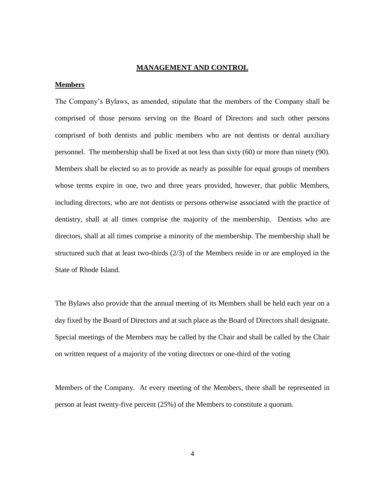#### **MANAGEMENT AND CONTROL**

#### **Members**

The Company's Bylaws, as amended, stipulate that the members of the Company shall be comprised of those persons serving on the Board of Directors and such other persons comprised of both dentists and public members who are not dentists or dental auxiliary personnel. The membership shall be fixed at not less than sixty (60) or more than ninety (90). Members shall be elected so as to provide as nearly as possible for equal groups of members whose terms expire in one, two and three years provided, however, that public Members, including directors, who are not dentists or persons otherwise associated with the practice of dentistry, shall at all times comprise the majority of the membership. Dentists who are directors, shall at all times comprise a minority of the membership. The membership shall be structured such that at least two-thirds (2/3) of the Members reside in or are employed in the State of Rhode Island.

The Bylaws also provide that the annual meeting of its Members shall be held each year on a day fixed by the Board of Directors and at such place as the Board of Directors shall designate. Special meetings of the Members may be called by the Chair and shall be called by the Chair on written request of a majority of the voting directors or one-third of the voting

Members of the Company. At every meeting of the Members, there shall be represented in person at least twenty-five percent (25%) of the Members to constitute a quorum.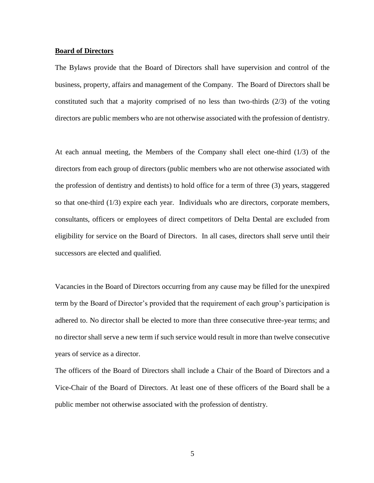#### **Board of Directors**

The Bylaws provide that the Board of Directors shall have supervision and control of the business, property, affairs and management of the Company. The Board of Directors shall be constituted such that a majority comprised of no less than two-thirds  $(2/3)$  of the voting directors are public members who are not otherwise associated with the profession of dentistry.

At each annual meeting, the Members of the Company shall elect one-third (1/3) of the directors from each group of directors (public members who are not otherwise associated with the profession of dentistry and dentists) to hold office for a term of three (3) years, staggered so that one-third (1/3) expire each year. Individuals who are directors, corporate members, consultants, officers or employees of direct competitors of Delta Dental are excluded from eligibility for service on the Board of Directors. In all cases, directors shall serve until their successors are elected and qualified.

Vacancies in the Board of Directors occurring from any cause may be filled for the unexpired term by the Board of Director's provided that the requirement of each group's participation is adhered to. No director shall be elected to more than three consecutive three-year terms; and no director shall serve a new term if such service would result in more than twelve consecutive years of service as a director.

The officers of the Board of Directors shall include a Chair of the Board of Directors and a Vice-Chair of the Board of Directors. At least one of these officers of the Board shall be a public member not otherwise associated with the profession of dentistry.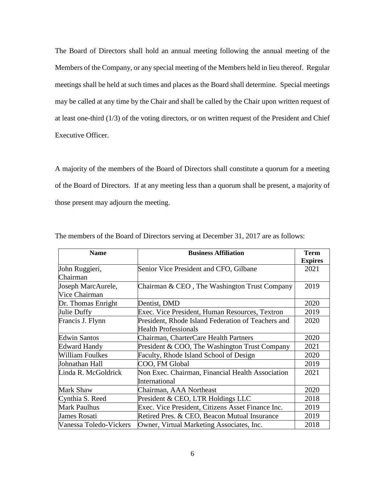The Board of Directors shall hold an annual meeting following the annual meeting of the Members of the Company, or any special meeting of the Members held in lieu thereof. Regular meetings shall be held at such times and places as the Board shall determine. Special meetings may be called at any time by the Chair and shall be called by the Chair upon written request of at least one-third (1/3) of the voting directors, or on written request of the President and Chief Executive Officer.

A majority of the members of the Board of Directors shall constitute a quorum for a meeting of the Board of Directors. If at any meeting less than a quorum shall be present, a majority of those present may adjourn the meeting.

| <b>Name</b>            | <b>Business Affiliation</b>                        | <b>Term</b>    |
|------------------------|----------------------------------------------------|----------------|
|                        |                                                    | <b>Expires</b> |
| John Ruggieri,         | Senior Vice President and CFO, Gilbane             | 2021           |
| Chairman               |                                                    |                |
| Joseph MarcAurele,     | Chairman & CEO, The Washington Trust Company       | 2019           |
| Vice Chairman          |                                                    |                |
| Dr. Thomas Enright     | Dentist, DMD                                       | 2020           |
| Julie Duffy            | Exec. Vice President, Human Resources, Textron     | 2019           |
| Francis J. Flynn       | President, Rhode Island Federation of Teachers and | 2020           |
|                        | <b>Health Professionals</b>                        |                |
| <b>Edwin Santos</b>    | Chairman, CharterCare Health Partners              | 2020           |
| <b>Edward Handy</b>    | President & COO, The Washington Trust Company      | 2021           |
| William Foulkes        | Faculty, Rhode Island School of Design             | 2020           |
| Johnathan Hall         | COO, FM Global                                     | 2019           |
| Linda R. McGoldrick    | Non Exec. Chairman, Financial Health Association   | 2021           |
|                        | International                                      |                |
| Mark Shaw              | Chairman, AAA Northeast                            | 2020           |
| Cynthia S. Reed        | President & CEO, LTR Holdings LLC                  | 2018           |
| Mark Paulhus           | Exec. Vice President, Citizens Asset Finance Inc.  | 2019           |
| James Rosati           | Retired Pres. & CEO, Beacon Mutual Insurance       | 2019           |
| Vanessa Toledo-Vickers | Owner, Virtual Marketing Associates, Inc.          | 2018           |

The members of the Board of Directors serving at December 31, 2017 are as follows: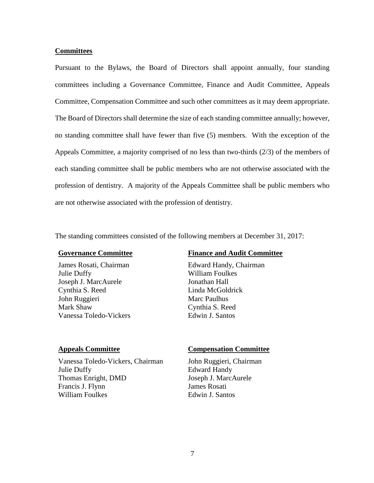### **Committees**

Pursuant to the Bylaws, the Board of Directors shall appoint annually, four standing committees including a Governance Committee, Finance and Audit Committee, Appeals Committee, Compensation Committee and such other committees as it may deem appropriate. The Board of Directors shall determine the size of each standing committee annually; however, no standing committee shall have fewer than five (5) members. With the exception of the Appeals Committee, a majority comprised of no less than two-thirds (2/3) of the members of each standing committee shall be public members who are not otherwise associated with the profession of dentistry. A majority of the Appeals Committee shall be public members who are not otherwise associated with the profession of dentistry.

The standing committees consisted of the following members at December 31, 2017:

James Rosati, Chairman Edward Handy, Chairman Julie Duffy William Foulkes Joseph J. MarcAurele Jonathan Hall Cynthia S. Reed Linda McGoldrick John Ruggieri Marc Paulhus Mark Shaw Cynthia S. Reed Vanessa Toledo-Vickers Edwin J. Santos

## **Governance Committee Finance and Audit Committee**

Vanessa Toledo-Vickers, Chairman John Ruggieri, Chairman Julie Duffy Edward Handy Thomas Enright, DMD Joseph J. MarcAurele Francis J. Flynn James Rosati William Foulkes Edwin J. Santos

#### **Appeals Committee Compensation Committee**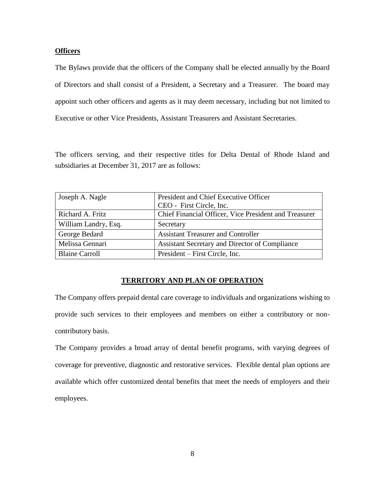### **Officers**

The Bylaws provide that the officers of the Company shall be elected annually by the Board of Directors and shall consist of a President, a Secretary and a Treasurer. The board may appoint such other officers and agents as it may deem necessary, including but not limited to Executive or other Vice Presidents, Assistant Treasurers and Assistant Secretaries.

The officers serving, and their respective titles for Delta Dental of Rhode Island and subsidiaries at December 31, 2017 are as follows:

| Joseph A. Nagle       | President and Chief Executive Officer<br>CEO - First Circle, Inc. |
|-----------------------|-------------------------------------------------------------------|
| Richard A. Fritz      | Chief Financial Officer, Vice President and Treasurer             |
| William Landry, Esq.  | Secretary                                                         |
| George Bedard         | <b>Assistant Treasurer and Controller</b>                         |
| Melissa Gennari       | Assistant Secretary and Director of Compliance                    |
| <b>Blaine Carroll</b> | President – First Circle, Inc.                                    |

### **TERRITORY AND PLAN OF OPERATION**

The Company offers prepaid dental care coverage to individuals and organizations wishing to provide such services to their employees and members on either a contributory or noncontributory basis.

The Company provides a broad array of dental benefit programs, with varying degrees of coverage for preventive, diagnostic and restorative services. Flexible dental plan options are available which offer customized dental benefits that meet the needs of employers and their employees.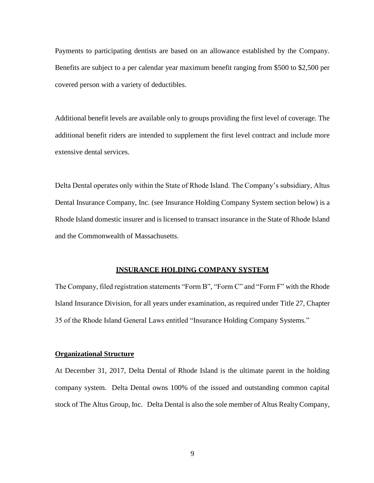Payments to participating dentists are based on an allowance established by the Company. Benefits are subject to a per calendar year maximum benefit ranging from \$500 to \$2,500 per covered person with a variety of deductibles.

Additional benefit levels are available only to groups providing the first level of coverage. The additional benefit riders are intended to supplement the first level contract and include more extensive dental services.

Delta Dental operates only within the State of Rhode Island. The Company's subsidiary, Altus Dental Insurance Company, Inc. (see Insurance Holding Company System section below) is a Rhode Island domestic insurer and is licensed to transact insurance in the State of Rhode Island and the Commonwealth of Massachusetts.

### **INSURANCE HOLDING COMPANY SYSTEM**

The Company, filed registration statements "Form B", "Form C" and "Form F" with the Rhode Island Insurance Division, for all years under examination, as required under Title 27, Chapter 35 of the Rhode Island General Laws entitled "Insurance Holding Company Systems."

#### **Organizational Structure**

At December 31, 2017, Delta Dental of Rhode Island is the ultimate parent in the holding company system. Delta Dental owns 100% of the issued and outstanding common capital stock of The Altus Group, Inc. Delta Dental is also the sole member of Altus Realty Company,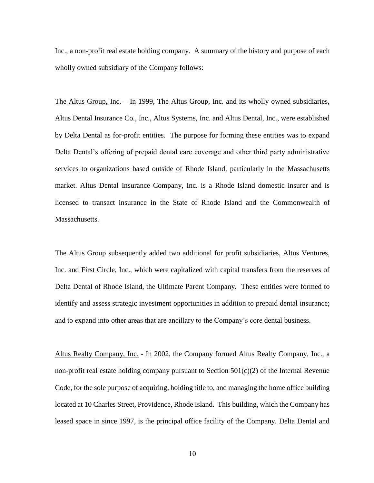Inc., a non-profit real estate holding company. A summary of the history and purpose of each wholly owned subsidiary of the Company follows:

The Altus Group, Inc. – In 1999, The Altus Group, Inc. and its wholly owned subsidiaries, Altus Dental Insurance Co., Inc., Altus Systems, Inc. and Altus Dental, Inc., were established by Delta Dental as for-profit entities. The purpose for forming these entities was to expand Delta Dental's offering of prepaid dental care coverage and other third party administrative services to organizations based outside of Rhode Island, particularly in the Massachusetts market. Altus Dental Insurance Company, Inc. is a Rhode Island domestic insurer and is licensed to transact insurance in the State of Rhode Island and the Commonwealth of Massachusetts.

The Altus Group subsequently added two additional for profit subsidiaries, Altus Ventures, Inc. and First Circle, Inc., which were capitalized with capital transfers from the reserves of Delta Dental of Rhode Island, the Ultimate Parent Company. These entities were formed to identify and assess strategic investment opportunities in addition to prepaid dental insurance; and to expand into other areas that are ancillary to the Company's core dental business.

Altus Realty Company, Inc. - In 2002, the Company formed Altus Realty Company, Inc., a non-profit real estate holding company pursuant to Section  $501(c)(2)$  of the Internal Revenue Code, for the sole purpose of acquiring, holding title to, and managing the home office building located at 10 Charles Street, Providence, Rhode Island. This building, which the Company has leased space in since 1997, is the principal office facility of the Company. Delta Dental and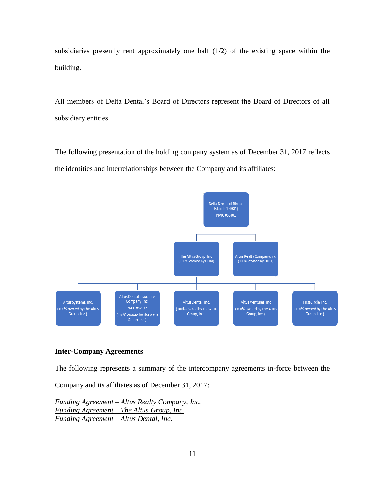subsidiaries presently rent approximately one half (1/2) of the existing space within the building.

All members of Delta Dental's Board of Directors represent the Board of Directors of all subsidiary entities.

The following presentation of the holding company system as of December 31, 2017 reflects the identities and interrelationships between the Company and its affiliates:



## **Inter-Company Agreements**

The following represents a summary of the intercompany agreements in-force between the

Company and its affiliates as of December 31, 2017:

*Funding Agreement – Altus Realty Company, Inc. Funding Agreement – The Altus Group, Inc. Funding Agreement – Altus Dental, Inc.*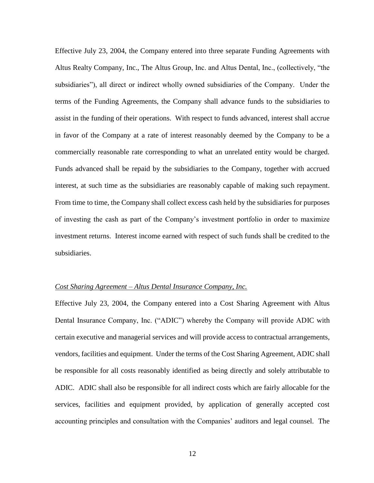Effective July 23, 2004, the Company entered into three separate Funding Agreements with Altus Realty Company, Inc., The Altus Group, Inc. and Altus Dental, Inc., (collectively, "the subsidiaries"), all direct or indirect wholly owned subsidiaries of the Company. Under the terms of the Funding Agreements, the Company shall advance funds to the subsidiaries to assist in the funding of their operations. With respect to funds advanced, interest shall accrue in favor of the Company at a rate of interest reasonably deemed by the Company to be a commercially reasonable rate corresponding to what an unrelated entity would be charged. Funds advanced shall be repaid by the subsidiaries to the Company, together with accrued interest, at such time as the subsidiaries are reasonably capable of making such repayment. From time to time, the Company shall collect excess cash held by the subsidiaries for purposes of investing the cash as part of the Company's investment portfolio in order to maximize investment returns. Interest income earned with respect of such funds shall be credited to the subsidiaries.

#### *Cost Sharing Agreement – Altus Dental Insurance Company, Inc.*

Effective July 23, 2004, the Company entered into a Cost Sharing Agreement with Altus Dental Insurance Company, Inc. ("ADIC") whereby the Company will provide ADIC with certain executive and managerial services and will provide access to contractual arrangements, vendors, facilities and equipment. Under the terms of the Cost Sharing Agreement, ADIC shall be responsible for all costs reasonably identified as being directly and solely attributable to ADIC. ADIC shall also be responsible for all indirect costs which are fairly allocable for the services, facilities and equipment provided, by application of generally accepted cost accounting principles and consultation with the Companies' auditors and legal counsel. The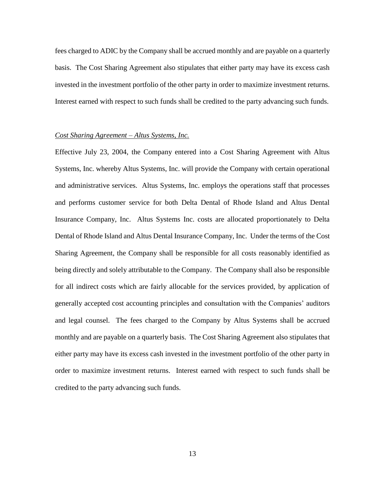fees charged to ADIC by the Company shall be accrued monthly and are payable on a quarterly basis. The Cost Sharing Agreement also stipulates that either party may have its excess cash invested in the investment portfolio of the other party in order to maximize investment returns. Interest earned with respect to such funds shall be credited to the party advancing such funds.

### *Cost Sharing Agreement – Altus Systems, Inc.*

Effective July 23, 2004, the Company entered into a Cost Sharing Agreement with Altus Systems, Inc. whereby Altus Systems, Inc. will provide the Company with certain operational and administrative services. Altus Systems, Inc. employs the operations staff that processes and performs customer service for both Delta Dental of Rhode Island and Altus Dental Insurance Company, Inc. Altus Systems Inc. costs are allocated proportionately to Delta Dental of Rhode Island and Altus Dental Insurance Company, Inc. Under the terms of the Cost Sharing Agreement, the Company shall be responsible for all costs reasonably identified as being directly and solely attributable to the Company. The Company shall also be responsible for all indirect costs which are fairly allocable for the services provided, by application of generally accepted cost accounting principles and consultation with the Companies' auditors and legal counsel. The fees charged to the Company by Altus Systems shall be accrued monthly and are payable on a quarterly basis. The Cost Sharing Agreement also stipulates that either party may have its excess cash invested in the investment portfolio of the other party in order to maximize investment returns. Interest earned with respect to such funds shall be credited to the party advancing such funds.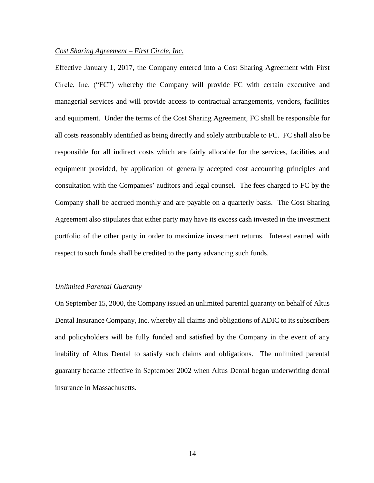### *Cost Sharing Agreement – First Circle, Inc.*

Effective January 1, 2017, the Company entered into a Cost Sharing Agreement with First Circle, Inc. ("FC") whereby the Company will provide FC with certain executive and managerial services and will provide access to contractual arrangements, vendors, facilities and equipment. Under the terms of the Cost Sharing Agreement, FC shall be responsible for all costs reasonably identified as being directly and solely attributable to FC. FC shall also be responsible for all indirect costs which are fairly allocable for the services, facilities and equipment provided, by application of generally accepted cost accounting principles and consultation with the Companies' auditors and legal counsel. The fees charged to FC by the Company shall be accrued monthly and are payable on a quarterly basis. The Cost Sharing Agreement also stipulates that either party may have its excess cash invested in the investment portfolio of the other party in order to maximize investment returns. Interest earned with respect to such funds shall be credited to the party advancing such funds.

#### *Unlimited Parental Guaranty*

On September 15, 2000, the Company issued an unlimited parental guaranty on behalf of Altus Dental Insurance Company, Inc. whereby all claims and obligations of ADIC to its subscribers and policyholders will be fully funded and satisfied by the Company in the event of any inability of Altus Dental to satisfy such claims and obligations. The unlimited parental guaranty became effective in September 2002 when Altus Dental began underwriting dental insurance in Massachusetts.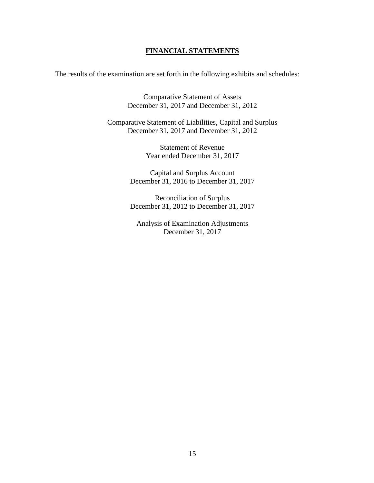## **FINANCIAL STATEMENTS**

The results of the examination are set forth in the following exhibits and schedules:

Comparative Statement of Assets December 31, 2017 and December 31, 2012

Comparative Statement of Liabilities, Capital and Surplus December 31, 2017 and December 31, 2012

> Statement of Revenue Year ended December 31, 2017

Capital and Surplus Account December 31, 2016 to December 31, 2017

Reconciliation of Surplus December 31, 2012 to December 31, 2017

Analysis of Examination Adjustments December 31, 2017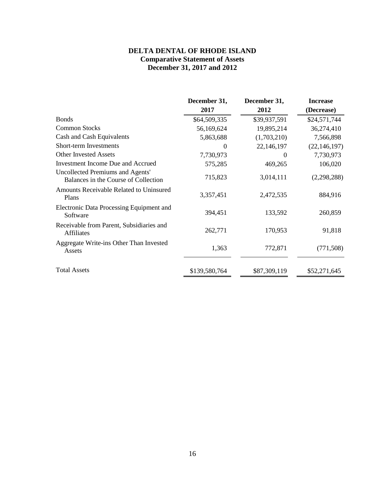## **DELTA DENTAL OF RHODE ISLAND Comparative Statement of Assets December 31, 2017 and 2012**

|                                                                          | December 31,  | December 31, | <b>Increase</b> |
|--------------------------------------------------------------------------|---------------|--------------|-----------------|
|                                                                          | 2017          | 2012         | (Decrease)      |
| <b>Bonds</b>                                                             | \$64,509,335  | \$39,937,591 | \$24,571,744    |
| <b>Common Stocks</b>                                                     | 56,169,624    | 19,895,214   | 36,274,410      |
| Cash and Cash Equivalents                                                | 5,863,688     | (1,703,210)  | 7,566,898       |
| Short-term Investments                                                   | $\theta$      | 22,146,197   | (22, 146, 197)  |
| <b>Other Invested Assets</b>                                             | 7,730,973     | $\theta$     | 7,730,973       |
| <b>Investment Income Due and Accrued</b>                                 | 575,285       | 469,265      | 106,020         |
| Uncollected Premiums and Agents'<br>Balances in the Course of Collection | 715,823       | 3,014,111    | (2,298,288)     |
| Amounts Receivable Related to Uninsured<br>Plans                         | 3,357,451     | 2,472,535    | 884,916         |
| Electronic Data Processing Equipment and<br>Software                     | 394,451       | 133,592      | 260,859         |
| Receivable from Parent, Subsidiaries and<br><b>Affiliates</b>            | 262,771       | 170,953      | 91,818          |
| Aggregate Write-ins Other Than Invested<br>Assets                        | 1,363         | 772,871      | (771, 508)      |
| <b>Total Assets</b>                                                      | \$139,580,764 | \$87,309,119 | \$52,271,645    |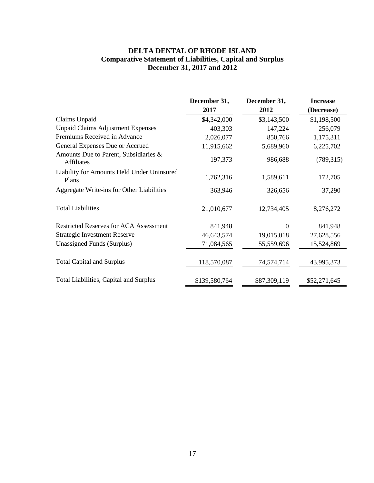## **DELTA DENTAL OF RHODE ISLAND Comparative Statement of Liabilities, Capital and Surplus December 31, 2017 and 2012**

|                                                            | December 31,  | December 31, | <b>Increase</b> |
|------------------------------------------------------------|---------------|--------------|-----------------|
|                                                            | 2017          | 2012         | (Decrease)      |
| Claims Unpaid                                              | \$4,342,000   | \$3,143,500  | \$1,198,500     |
| <b>Unpaid Claims Adjustment Expenses</b>                   | 403,303       | 147,224      | 256,079         |
| Premiums Received in Advance                               | 2,026,077     | 850,766      | 1,175,311       |
| General Expenses Due or Accrued                            | 11,915,662    | 5,689,960    | 6,225,702       |
| Amounts Due to Parent, Subsidiaries &<br><b>Affiliates</b> | 197,373       | 986,688      | (789, 315)      |
| Liability for Amounts Held Under Uninsured<br>Plans        | 1,762,316     | 1,589,611    | 172,705         |
| Aggregate Write-ins for Other Liabilities                  | 363,946       | 326,656      | 37,290          |
| <b>Total Liabilities</b>                                   | 21,010,677    | 12,734,405   | 8,276,272       |
| <b>Restricted Reserves for ACA Assessment</b>              | 841,948       | $\Omega$     | 841,948         |
| <b>Strategic Investment Reserve</b>                        | 46,643,574    | 19,015,018   | 27,628,556      |
| <b>Unassigned Funds (Surplus)</b>                          | 71,084,565    | 55,559,696   | 15,524,869      |
| <b>Total Capital and Surplus</b>                           | 118,570,087   | 74,574,714   | 43,995,373      |
| Total Liabilities, Capital and Surplus                     | \$139,580,764 | \$87,309,119 | \$52,271,645    |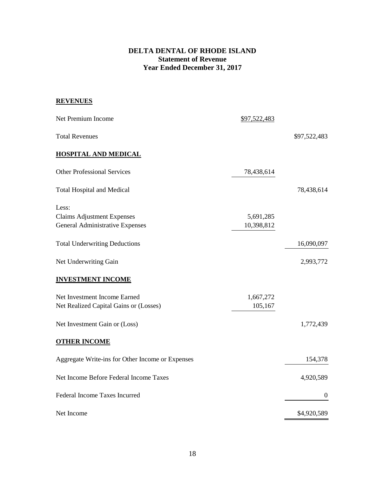## **DELTA DENTAL OF RHODE ISLAND Statement of Revenue Year Ended December 31, 2017**

## **REVENUES**

| Net Premium Income                                                            | \$97,522,483            |                  |
|-------------------------------------------------------------------------------|-------------------------|------------------|
| <b>Total Revenues</b>                                                         |                         | \$97,522,483     |
| <b>HOSPITAL AND MEDICAL</b>                                                   |                         |                  |
| <b>Other Professional Services</b>                                            | 78,438,614              |                  |
| <b>Total Hospital and Medical</b>                                             |                         | 78,438,614       |
| Less:<br><b>Claims Adjustment Expenses</b><br>General Administrative Expenses | 5,691,285<br>10,398,812 |                  |
| <b>Total Underwriting Deductions</b>                                          |                         | 16,090,097       |
| Net Underwriting Gain                                                         |                         | 2,993,772        |
| <b>INVESTMENT INCOME</b>                                                      |                         |                  |
| Net Investment Income Earned<br>Net Realized Capital Gains or (Losses)        | 1,667,272<br>105,167    |                  |
| Net Investment Gain or (Loss)                                                 |                         | 1,772,439        |
| <b>OTHER INCOME</b>                                                           |                         |                  |
| Aggregate Write-ins for Other Income or Expenses                              |                         | 154,378          |
| Net Income Before Federal Income Taxes                                        |                         | 4,920,589        |
| Federal Income Taxes Incurred                                                 |                         | $\boldsymbol{0}$ |
| Net Income                                                                    |                         | \$4,920,589      |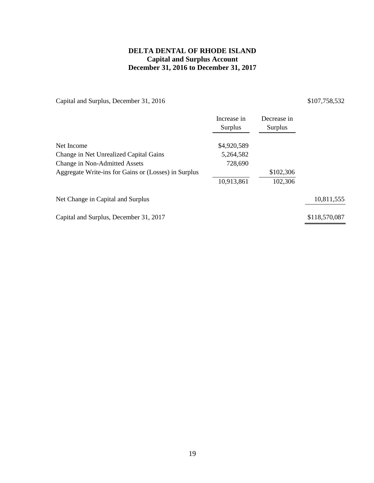## **DELTA DENTAL OF RHODE ISLAND Capital and Surplus Account December 31, 2016 to December 31, 2017**

Capital and Surplus, December 31, 2016 \$107,758,532

| Increase in<br>Surplus | Decrease in<br>Surplus |               |
|------------------------|------------------------|---------------|
| \$4,920,589            |                        |               |
| 5,264,582              |                        |               |
| 728,690                |                        |               |
|                        | \$102,306              |               |
| 10,913,861             | 102,306                |               |
|                        |                        | 10,811,555    |
|                        |                        | \$118,570,087 |
|                        |                        |               |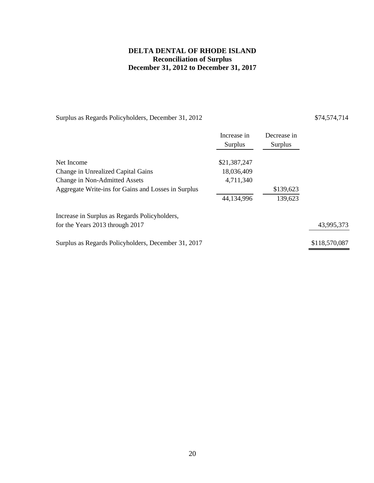## **DELTA DENTAL OF RHODE ISLAND Reconciliation of Surplus December 31, 2012 to December 31, 2017**

Surplus as Regards Policyholders, December 31, 2012 \$74,574,714

|                                                     | Increase in<br>Surplus | Decrease in<br>Surplus |               |
|-----------------------------------------------------|------------------------|------------------------|---------------|
| Net Income                                          | \$21,387,247           |                        |               |
| Change in Unrealized Capital Gains                  | 18,036,409             |                        |               |
| Change in Non-Admitted Assets                       | 4,711,340              |                        |               |
| Aggregate Write-ins for Gains and Losses in Surplus |                        | \$139,623              |               |
|                                                     | 44,134,996             | 139,623                |               |
| Increase in Surplus as Regards Policyholders,       |                        |                        |               |
| for the Years 2013 through 2017                     |                        |                        | 43,995,373    |
| Surplus as Regards Policyholders, December 31, 2017 |                        |                        | \$118,570,087 |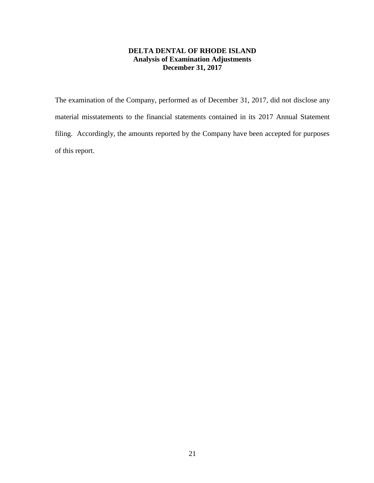## **DELTA DENTAL OF RHODE ISLAND Analysis of Examination Adjustments December 31, 2017**

The examination of the Company, performed as of December 31, 2017, did not disclose any material misstatements to the financial statements contained in its 2017 Annual Statement filing. Accordingly, the amounts reported by the Company have been accepted for purposes of this report.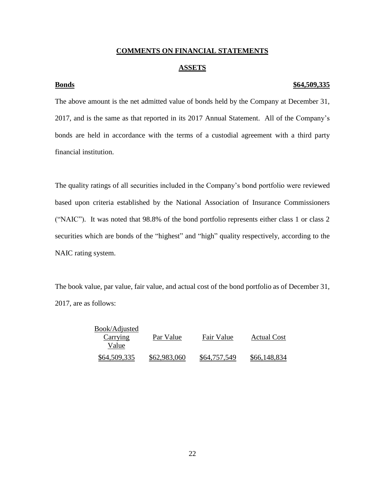### **COMMENTS ON FINANCIAL STATEMENTS**

#### **ASSETS**

### **Bonds \$64,509,335**

The above amount is the net admitted value of bonds held by the Company at December 31, 2017, and is the same as that reported in its 2017 Annual Statement. All of the Company's bonds are held in accordance with the terms of a custodial agreement with a third party financial institution.

The quality ratings of all securities included in the Company's bond portfolio were reviewed based upon criteria established by the National Association of Insurance Commissioners ("NAIC"). It was noted that 98.8% of the bond portfolio represents either class 1 or class 2 securities which are bonds of the "highest" and "high" quality respectively, according to the NAIC rating system.

The book value, par value, fair value, and actual cost of the bond portfolio as of December 31, 2017, are as follows:

| Book/Adjusted<br>Carrying<br>Value | Par Value    | Fair Value   | <b>Actual Cost</b> |
|------------------------------------|--------------|--------------|--------------------|
| \$64,509,335                       | \$62,983,060 | \$64,757,549 | \$66,148,834       |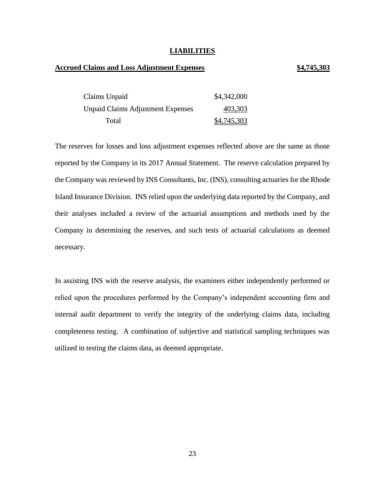#### **LIABILITIES**

#### **Accrued Claims and Loss Adjustment Expenses \$4,745,303**

| Claims Unpaid                            | \$4,342,000 |
|------------------------------------------|-------------|
| <b>Unpaid Claims Adjustment Expenses</b> | 403,303     |
| Total                                    | \$4,745,303 |

The reserves for losses and loss adjustment expenses reflected above are the same as those reported by the Company in its 2017 Annual Statement. The reserve calculation prepared by the Company was reviewed by INS Consultants, Inc. (INS), consulting actuaries for the Rhode Island Insurance Division. INS relied upon the underlying data reported by the Company, and their analyses included a review of the actuarial assumptions and methods used by the Company in determining the reserves, and such tests of actuarial calculations as deemed necessary.

In assisting INS with the reserve analysis, the examiners either independently performed or relied upon the procedures performed by the Company's independent accounting firm and internal audit department to verify the integrity of the underlying claims data, including completeness testing. A combination of subjective and statistical sampling techniques was utilized in testing the claims data, as deemed appropriate.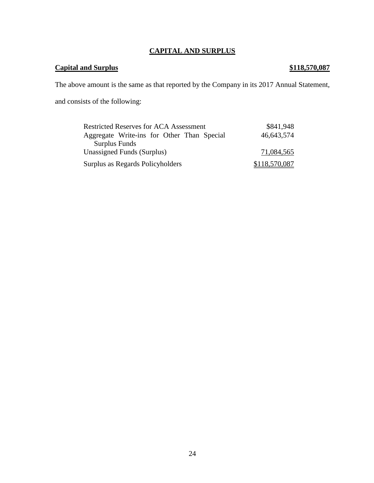# **CAPITAL AND SURPLUS**

## **Capital and Surplus \$118,570,087**

The above amount is the same as that reported by the Company in its 2017 Annual Statement,

and consists of the following:

| <b>Restricted Reserves for ACA Assessment</b> | \$841,948     |
|-----------------------------------------------|---------------|
| Aggregate Write-ins for Other Than Special    | 46,643,574    |
| <b>Surplus Funds</b>                          |               |
| Unassigned Funds (Surplus)                    | 71,084,565    |
| Surplus as Regards Policyholders              | \$118,570,087 |